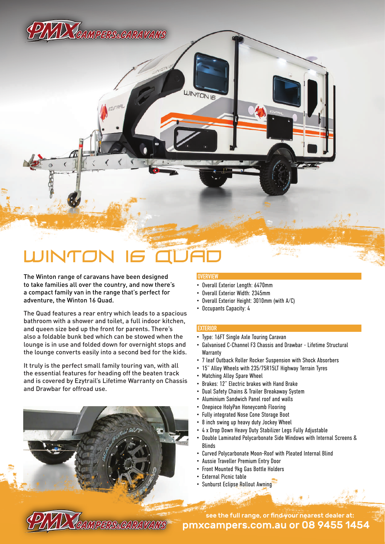PTYTD TAMPERS. CARAVANS

# INTO

The Winton range of caravans have been designed to take families all over the country, and now there's a compact family van in the range that's perfect for adventure, the Winton 16 Quad.

The Quad features a rear entry which leads to a spacious bathroom with a shower and toilet, a full indoor kitchen, and queen size bed up the front for parents. There's also a foldable bunk bed which can be stowed when the lounge is in use and folded down for overnight stops and the lounge converts easily into a second bed for the kids.

It truly is the perfect small family touring van, with all the essential features for heading off the beaten track and is covered by Ezytrail's Lifetime Warranty on Chassis and Drawbar for offroad use.

**PYYD TEAMPERSEARAVANS** 

### **OVERVIEW**

**UINTON IS** 

- Overall Exterior Length: 6470mm
- Overall Exterior Width: 2345mm
- Overall Exterior Height: 3010mm (with A/C)
- Occupants Capacity: 4

#### **EXTERIOR**

- Type: 16FT Single Axle Touring Caravan
- Galvanised C-Channel F3 Chassis and Drawbar Lifetime Structural **Warranty**
- 7 leaf Outback Roller Rocker Suspension with Shock Absorbers
- 15" Alloy Wheels with 235/75R15LT Highway Terrain Tyres
- Matching Alloy Spare Wheel
- Brakes: 12" Electric brakes with Hand Brake
- Dual Safety Chains & Trailer Breakaway System
- Aluminium Sandwich Panel roof and walls
- Onepiece HolyPan Honeycomb Flooring
- Fully integrated Nose Cone Storage Boot
- 8 inch swing up heavy duty Jockey Wheel
- 4 x Drop Down Heavy Duty Stabilizer Legs Fully Adjustable
- Double Laminated Polycarbonate Side Windows with Internal Screens & Blinds
- Curved Polycarbonate Moon-Roof with Pleated Internal Blind
- Aussie Traveller Premium Entry Door
- Front Mounted 9kg Gas Bottle Holders
- External Picnic table
- Sunburst Eclipse Rollout Awning